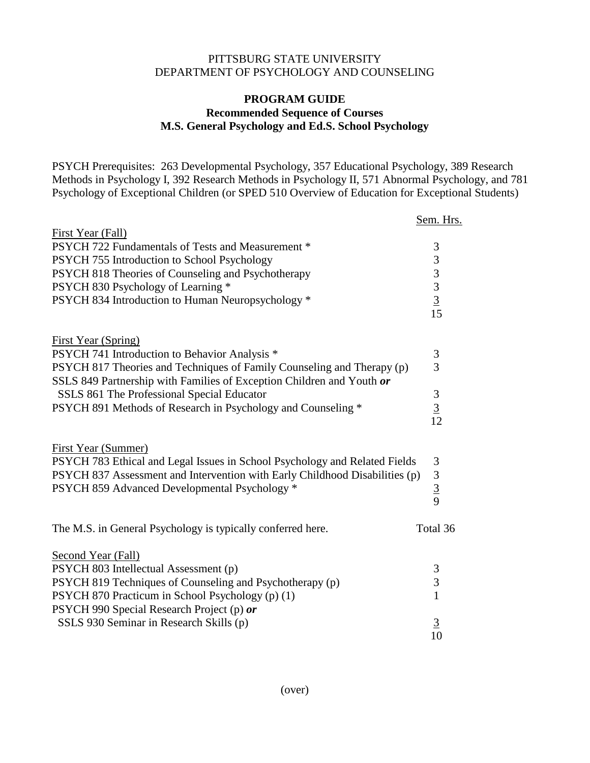## PITTSBURG STATE UNIVERSITY DEPARTMENT OF PSYCHOLOGY AND COUNSELING

## **PROGRAM GUIDE Recommended Sequence of Courses M.S. General Psychology and Ed.S. School Psychology**

PSYCH Prerequisites: 263 Developmental Psychology, 357 Educational Psychology, 389 Research Methods in Psychology I, 392 Research Methods in Psychology II, 571 Abnormal Psychology, and 781 Psychology of Exceptional Children (or SPED 510 Overview of Education for Exceptional Students)

|                                                                             | Sem. Hrs.                                                         |
|-----------------------------------------------------------------------------|-------------------------------------------------------------------|
| First Year (Fall)                                                           |                                                                   |
| PSYCH 722 Fundamentals of Tests and Measurement *                           | $\mathfrak{Z}$                                                    |
| PSYCH 755 Introduction to School Psychology                                 |                                                                   |
| PSYCH 818 Theories of Counseling and Psychotherapy                          |                                                                   |
| PSYCH 830 Psychology of Learning *                                          |                                                                   |
| PSYCH 834 Introduction to Human Neuropsychology *                           | $\begin{array}{c} 3 \\ 3 \\ 3 \\ \underline{3} \\ 15 \end{array}$ |
|                                                                             |                                                                   |
| First Year (Spring)                                                         |                                                                   |
| PSYCH 741 Introduction to Behavior Analysis *                               | $\mathfrak{Z}$                                                    |
| PSYCH 817 Theories and Techniques of Family Counseling and Therapy (p)      | $\overline{3}$                                                    |
| SSLS 849 Partnership with Families of Exception Children and Youth or       |                                                                   |
| SSLS 861 The Professional Special Educator                                  |                                                                   |
| PSYCH 891 Methods of Research in Psychology and Counseling *                | $\frac{3}{12}$                                                    |
|                                                                             |                                                                   |
| <b>First Year (Summer)</b>                                                  |                                                                   |
| PSYCH 783 Ethical and Legal Issues in School Psychology and Related Fields  | $\mathfrak{Z}$                                                    |
| PSYCH 837 Assessment and Intervention with Early Childhood Disabilities (p) |                                                                   |
| PSYCH 859 Advanced Developmental Psychology *                               | $\frac{3}{9}$                                                     |
|                                                                             |                                                                   |
| The M.S. in General Psychology is typically conferred here.                 | Total 36                                                          |
| Second Year (Fall)                                                          |                                                                   |
| PSYCH 803 Intellectual Assessment (p)                                       | 3                                                                 |
| PSYCH 819 Techniques of Counseling and Psychotherapy (p)                    | $\overline{3}$                                                    |
| PSYCH 870 Practicum in School Psychology (p) (1)                            | $\mathbf{1}$                                                      |
| PSYCH 990 Special Research Project (p) or                                   |                                                                   |
| SSLS 930 Seminar in Research Skills (p)                                     | $\overline{3}$                                                    |
|                                                                             | 10                                                                |